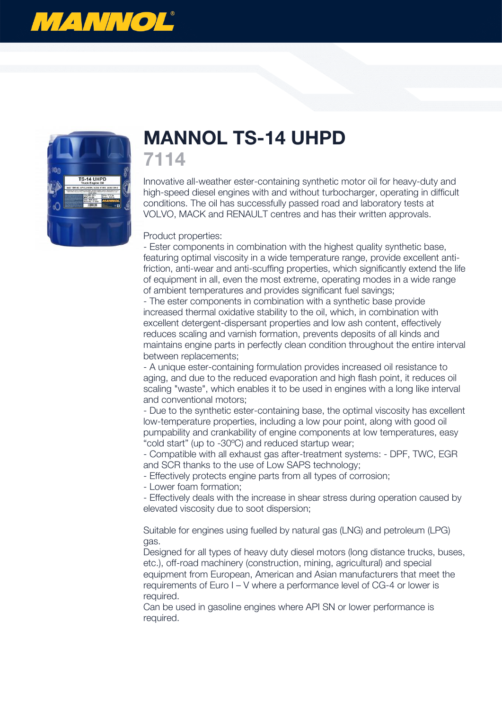



## **MANNOL TS-14 UHPD 7114**

Innovative all-weather ester-containing synthetic motor oil for heavy-duty and high-speed diesel engines with and without turbocharger, operating in difficult conditions. The oil has successfully passed road and laboratory tests at VOLVO, MACK and RENAULT centres and has their written approvals.

## Product properties:

- Ester components in combination with the highest quality synthetic base, featuring optimal viscosity in a wide temperature range, provide excellent antifriction, anti-wear and anti-scuffing properties, which significantly extend the life of equipment in all, even the most extreme, operating modes in a wide range of ambient temperatures and provides significant fuel savings;

- The ester components in combination with a synthetic base provide increased thermal oxidative stability to the oil, which, in combination with excellent detergent-dispersant properties and low ash content, effectively reduces scaling and varnish formation, prevents deposits of all kinds and maintains engine parts in perfectly clean condition throughout the entire interval between replacements;

- A unique ester-containing formulation provides increased oil resistance to aging, and due to the reduced evaporation and high flash point, it reduces oil scaling "waste", which enables it to be used in engines with a long like interval and conventional motors;

- Due to the synthetic ester-containing base, the optimal viscosity has excellent low-temperature properties, including a low pour point, along with good oil pumpability and crankability of engine components at low temperatures, easy "cold start" (up to -30ºC) and reduced startup wear;

- Compatible with all exhaust gas after-treatment systems: - DPF, TWC, EGR and SCR thanks to the use of Low SAPS technology;

- Effectively protects engine parts from all types of corrosion;

- Lower foam formation;

- Effectively deals with the increase in shear stress during operation caused by elevated viscosity due to soot dispersion;

Suitable for engines using fuelled by natural gas (LNG) and petroleum (LPG) gas.

Designed for all types of heavy duty diesel motors (long distance trucks, buses, etc.), off-road machinery (construction, mining, agricultural) and special equipment from European, American and Asian manufacturers that meet the requirements of Euro I – V where a performance level of CG-4 or lower is required.

Can be used in gasoline engines where API SN or lower performance is required.